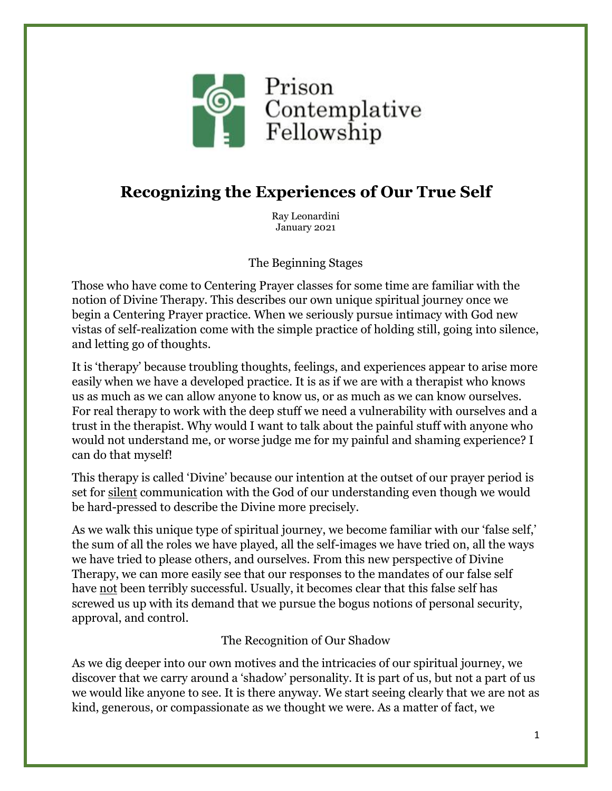

## **Recognizing the Experiences of Our True Self**

Ray Leonardini January 2021

The Beginning Stages

Those who have come to Centering Prayer classes for some time are familiar with the notion of Divine Therapy. This describes our own unique spiritual journey once we begin a Centering Prayer practice. When we seriously pursue intimacy with God new vistas of self-realization come with the simple practice of holding still, going into silence, and letting go of thoughts.

It is 'therapy' because troubling thoughts, feelings, and experiences appear to arise more easily when we have a developed practice. It is as if we are with a therapist who knows us as much as we can allow anyone to know us, or as much as we can know ourselves. For real therapy to work with the deep stuff we need a vulnerability with ourselves and a trust in the therapist. Why would I want to talk about the painful stuff with anyone who would not understand me, or worse judge me for my painful and shaming experience? I can do that myself!

This therapy is called 'Divine' because our intention at the outset of our prayer period is set for silent communication with the God of our understanding even though we would be hard-pressed to describe the Divine more precisely.

As we walk this unique type of spiritual journey, we become familiar with our 'false self,' the sum of all the roles we have played, all the self-images we have tried on, all the ways we have tried to please others, and ourselves. From this new perspective of Divine Therapy, we can more easily see that our responses to the mandates of our false self have not been terribly successful. Usually, it becomes clear that this false self has screwed us up with its demand that we pursue the bogus notions of personal security, approval, and control.

The Recognition of Our Shadow

As we dig deeper into our own motives and the intricacies of our spiritual journey, we discover that we carry around a 'shadow' personality. It is part of us, but not a part of us we would like anyone to see. It is there anyway. We start seeing clearly that we are not as kind, generous, or compassionate as we thought we were. As a matter of fact, we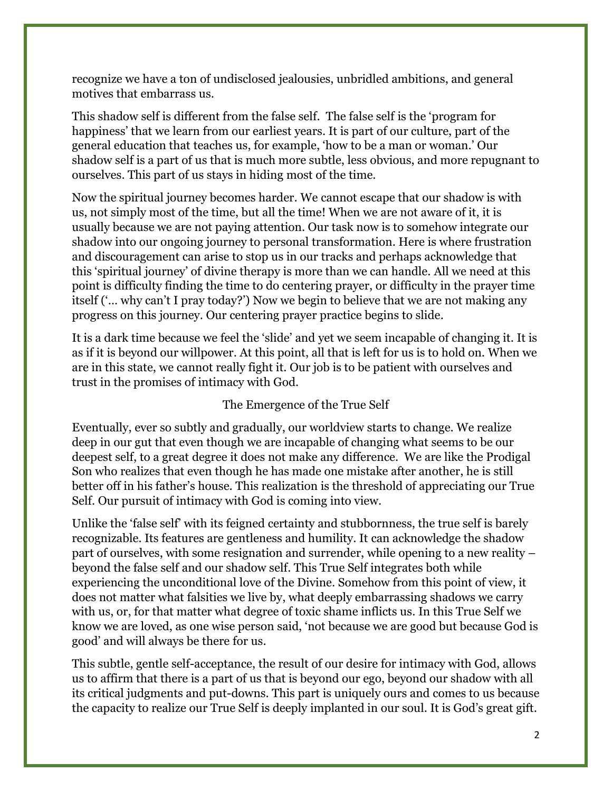recognize we have a ton of undisclosed jealousies, unbridled ambitions, and general motives that embarrass us.

This shadow self is different from the false self. The false self is the 'program for happiness' that we learn from our earliest years. It is part of our culture, part of the general education that teaches us, for example, 'how to be a man or woman.' Our shadow self is a part of us that is much more subtle, less obvious, and more repugnant to ourselves. This part of us stays in hiding most of the time.

Now the spiritual journey becomes harder. We cannot escape that our shadow is with us, not simply most of the time, but all the time! When we are not aware of it, it is usually because we are not paying attention. Our task now is to somehow integrate our shadow into our ongoing journey to personal transformation. Here is where frustration and discouragement can arise to stop us in our tracks and perhaps acknowledge that this 'spiritual journey' of divine therapy is more than we can handle. All we need at this point is difficulty finding the time to do centering prayer, or difficulty in the prayer time itself ('… why can't I pray today?') Now we begin to believe that we are not making any progress on this journey. Our centering prayer practice begins to slide.

It is a dark time because we feel the 'slide' and yet we seem incapable of changing it. It is as if it is beyond our willpower. At this point, all that is left for us is to hold on. When we are in this state, we cannot really fight it. Our job is to be patient with ourselves and trust in the promises of intimacy with God.

## The Emergence of the True Self

Eventually, ever so subtly and gradually, our worldview starts to change. We realize deep in our gut that even though we are incapable of changing what seems to be our deepest self, to a great degree it does not make any difference. We are like the Prodigal Son who realizes that even though he has made one mistake after another, he is still better off in his father's house. This realization is the threshold of appreciating our True Self. Our pursuit of intimacy with God is coming into view.

Unlike the 'false self' with its feigned certainty and stubbornness, the true self is barely recognizable. Its features are gentleness and humility. It can acknowledge the shadow part of ourselves, with some resignation and surrender, while opening to a new reality – beyond the false self and our shadow self. This True Self integrates both while experiencing the unconditional love of the Divine. Somehow from this point of view, it does not matter what falsities we live by, what deeply embarrassing shadows we carry with us, or, for that matter what degree of toxic shame inflicts us. In this True Self we know we are loved, as one wise person said, 'not because we are good but because God is good' and will always be there for us.

This subtle, gentle self-acceptance, the result of our desire for intimacy with God, allows us to affirm that there is a part of us that is beyond our ego, beyond our shadow with all its critical judgments and put-downs. This part is uniquely ours and comes to us because the capacity to realize our True Self is deeply implanted in our soul. It is God's great gift.